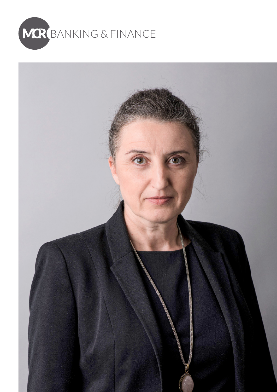

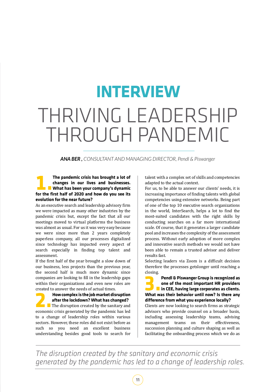# THRIVING LEADERSHIP THROUGH PANDEMIC **INTERVIEW**

*ANA BER , CONSULTANT AND MANAGING DIRECTOR, Pendl & Piswanger*

### **1. The pandemic crisis has brought a lot of<br>
1. Changes in our lives and businesses.<br>
1. What has been your company's dynamic<br>
for the first half of 2020 and how do you see its changes in our lives and businesses. What has been your company's dynamic for the first half of 2020 and how do you see its evolution for the near future?**

As an executive search and leadership advisory firm we were impacted as many other industries by the pandemic crisis but, except the fact that all our meetings moved to virtual platforms the business was almost as usual. For us it was very easy because we were since more than 2 years completely paperless company, all our processes digitalized since technology has impacted every aspect of search especially in finding top talent and assessment.

If the first half of the year brought a slow down of our business, less projects than the previous year, the second half is much more dynamic since companies are looking to fill in the leadership gaps within their organizations and even new roles are

created to answer the needs of actual times.<br>**How complex is the job market disruption 2.How complex is the job market disruption**  The disruption created by the sanitary and **after the lockdown? What has changed?** economic crisis generated by the pandemic has led to a change of leadership roles within various sectors. However, these roles did not exist before as such so you need an excellent business understanding besides good tools to search for talent with a complex set of skills and competencies adapted to the actual context.

For us, to be able to answer our clients' needs, it is increasing importance of finding talents with global competencies using extensive networks. Being part of one of the top 10 executive search organizations in the world, InterSearch, helps a lot to find the most-suited candidates with the right skills by conducting searches on a far more international scale. Of course, that it generates a larger candidate pool and increases the complexity of the assessment process. Without early adoption of more complex and innovative search methods we would not have been able to remain a trusted advisor and deliver results fast.

Selecting leaders via Zoom is a difficult decision therefore the processes getslonger until reaching a closing.

## **3.Pendl & Piswanger Group is recognized as one of the most important HR providers in CEE, having large corporates as clients.**

### **What was their behavior until now? Is there any difference from what you experience locally?**

Clients are now looking to search firms as strategic advisors who provide counsel on a broader basis, including assessing leadership teams, advising management teams on their effectiveness, succession planning and culture shaping as well as facilitating the onboarding process which we do as

*The disruption created by the sanitary and economic crisis generated by the pandemic has led to a change of leadership roles.*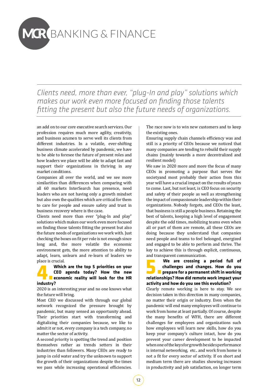# **MCR** BANKING & FINANCE

*Clients need, more than ever, "plug-In and play" solutions which makes our work even more focused on finding those talents fitting the present but also the future needs of organizations.*

an add on to our core executive search services. Our profession requires much more agility, creativity, and business acumen to serve well its clients from different industries. In a volatile, ever-shifting business climate accelerated by pandemic, we have to be able to foresee the future of present roles and how leaders we place will be able to adapt fast and support their organizations in thriving in any market conditions.

Companies all over the world, and we see more similarities than differences when comparing with all 60 markets InterSearch has presence, need leaders who are not having only a growth mindset but also own the qualities which are critical for them to care for people and ensure safety and trust in business recovery where is the case.

Clients need more than ever "plug-In and play" solutions which makes our work even more focused on finding those talents fitting the present but also the future needs of organizations we work with. Just checking the boxes on fit per role is not enough since long and, the more volatile the economic environment gets, the more attention to ability to adapt, learn, unlearn and re-learn of leaders we place is crucial.<br>**Which are the top 5 priorities on your** 

### **4. Which are the top 5 priorities on your<br>CEO agenda today? How the new<br><b>1. Explority** economic reality will look for the HR<br>industry? **CEO agenda today? How the new Example 1** economic reality will look for the HR **industry?**

2020 is an interesting year and no one knows what the future will bring.

Most CEO we discussed with through our global network recognized the pressure brought by pandemic, but many sensed an opportunity ahead. Their priorities start with transforming and digitalizing their companies because, we like to admit it or not, every company is a tech company, no matter the sector of activity.

A second priority is spotting the trend and position themselves rather as trends setters in their industries than followers. Many CEOs are ready to jump in cold water and try the unknown to support the growth of their organizations despite the times we pass while increasing operational efficiencies. The race now is to win new customers and to keep the existing ones.

Ensuring supply chain channels efficiency was and still is a priority of CEOs because we noticed that many companies are tending to rebuild their supply chains (mainly towards a more decentralized and resilient model)

We saw in 2020 more and more the focus of many CEOs in promoting a purpose that serves the societyand most probably their action from this year will have a crucial impact on the results of years to come. Last, but not least, is CEO focus on security and safety of their people as well as strengthening the impact of compassionate leadership within their organizations. Nobody forgets, and CEOs the least, that business is still a people business. Retaining the best of talents, keeping a high level of engagement despite the odd times, mobilizing teams even when all or part of them are remote, all these CEOs are doing because they understand that companies need people and teams to feel belonged, energized and engaged to be able to perform and thrive. The key to achieve this is through explicit, continuous, and transparent communication.



### **5. We are crossing a period full of<br>challenges and changes. How do you<br>prepare for a permanent shift in working<br>relationshins? How did remote work impact your challenges and changes. How do you prepare for a permanent shift in working relationships? How did remote work impact your activity and how do you see this evolution?**

Clearly remote working is here to stay. We see decision taken in this direction in many companies, no matter their origin or industry. Even when the pandemic will end many employees will continue to work from home at least partially. Of course, despite the many benefits of WFH, there are different challenges for employees and organizations such how employees will learn new skills, how do you keep your company's culture intact, how do you prevent your career development to be impacted when one of the keys for growth besides performance is internal networking, etc.. and work from home is not a fit for every sector of activity. If on short and medium term there are studies showing increases in productivity and job satisfaction, on longer term